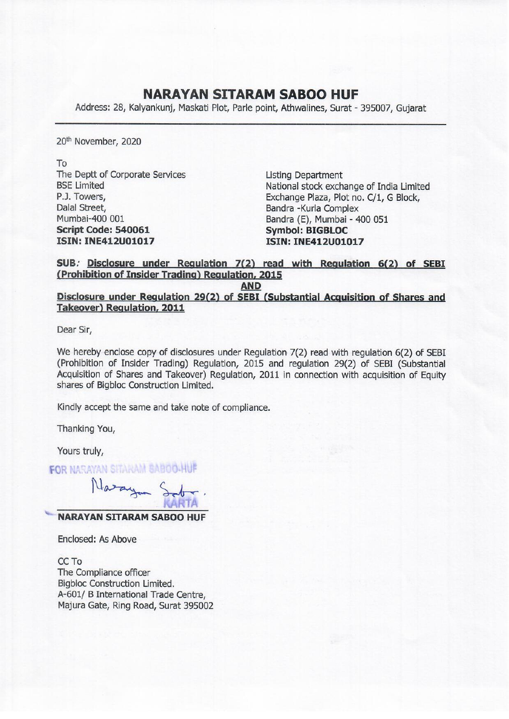## NARAYAN SITARAM SABOO HUF

**NARAYAN SITAF**<br>Address: 28, Kalyankunj, Maskati Plot, Parle Address: 28, Kalyankunj, Maskati Plot, Parle point, Athwalines, Surat - 395007, Gujarat

20<sup>th</sup> November, 2020

To The Deptt of Corporate Services Listing Department Dalal Street, Bandra -Kurla Complex Mumbai-400 001 **Bandra (E), Mumbai - 400 051** Script Code: 540061 Symbol: BIGBLOC **ISIN: INE412U01017 ISIN: INE412U01017** 

BSE Limited National stock exchange of India Limited P.J. Towers, Exchange Plaza, Plot no. C/1, G Block,

SUB. Disclosure under Regulation 7(2) read with Regulation 6(2) of SEBI (Prohibition of Insider Trading) Regulation, 2015

AND

Disclosure under Regulation 29(2) of SEBI (Substantial Acquisition of Shares and Takeover) Regulation, 2011

Dear Sir,

We hereby enclose copy of disclosures under Regulation 7(2) read with regulation 6(2) of SEBI (Prohibition of Insider Trading) Regulation, 2015 and regulation 29(2) of SEBI (Substantial Acquisition of Shares and Takeover) Regulation, 2011 in connection with acquisition of Equity shares of Bigbloc Construction Limited.

Kindly accept the same and take note of compliance.

Thanking You,

Yours truly,

**FOR NARAYAN SITARAM BABOO-HUF** 

Nazayan Sob

NARAYAN SITARAM SABOO HUF

Enclosed: As Above

CC To The Compliance officer Bigbloc Construction Limited. A-601/ B International Trade Centre, Majura Gate, Ring Road, Surat 395002